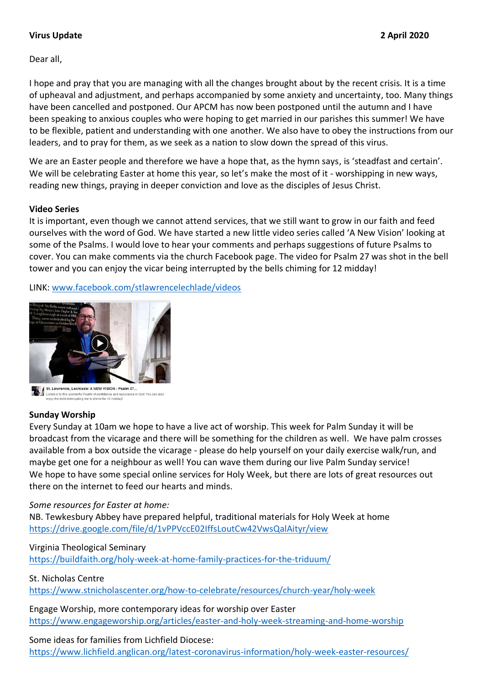## **Virus Update 2 April 2020**

Dear all,

I hope and pray that you are managing with all the changes brought about by the recent crisis. It is a time of upheaval and adjustment, and perhaps accompanied by some anxiety and uncertainty, too. Many things have been cancelled and postponed. Our APCM has now been postponed until the autumn and I have been speaking to anxious couples who were hoping to get married in our parishes this summer! We have to be flexible, patient and understanding with one another. We also have to obey the instructions from our leaders, and to pray for them, as we seek as a nation to slow down the spread of this virus.

We are an Easter people and therefore we have a hope that, as the hymn says, is 'steadfast and certain'. We will be celebrating Easter at home this year, so let's make the most of it - worshipping in new ways, reading new things, praying in deeper conviction and love as the disciples of Jesus Christ.

#### **Video Series**

It is important, even though we cannot attend services, that we still want to grow in our faith and feed ourselves with the word of God. We have started a new little video series called 'A New Vision' looking at some of the Psalms. I would love to hear your comments and perhaps suggestions of future Psalms to cover. You can make comments via the church Facebook page. The video for Psalm 27 was shot in the bell tower and you can enjoy the vicar being interrupted by the bells chiming for 12 midday!

LINK: [www.facebook.com/stlawrencelechlade/videos](http://www.facebook.com/stlawrencelechlade/videos)



sten in to this wonderful Psalm of confidence and as<br>joy the bells interrupting me to chime for 12 midday!

## **Sunday Worship**

Every Sunday at 10am we hope to have a live act of worship. This week for Palm Sunday it will be broadcast from the vicarage and there will be something for the children as well. We have palm crosses available from a box outside the vicarage - please do help yourself on your daily exercise walk/run, and maybe get one for a neighbour as well! You can wave them during our live Palm Sunday service! We hope to have some special online services for Holy Week, but there are lots of great resources out there on the internet to feed our hearts and minds.

## *Some resources for Easter at home:*

NB. Tewkesbury Abbey have prepared helpful, traditional materials for Holy Week at home <https://drive.google.com/file/d/1vPPVccE02IffsLoutCw42VwsQalAityr/view>

Virginia Theological Seminary

<https://buildfaith.org/holy-week-at-home-family-practices-for-the-triduum/>

St. Nicholas Centre

<https://www.stnicholascenter.org/how-to-celebrate/resources/church-year/holy-week>

Engage Worship, more contemporary ideas for worship over Easter <https://www.engageworship.org/articles/easter-and-holy-week-streaming-and-home-worship>

## Some ideas for families from Lichfield Diocese:

<https://www.lichfield.anglican.org/latest-coronavirus-information/holy-week-easter-resources/>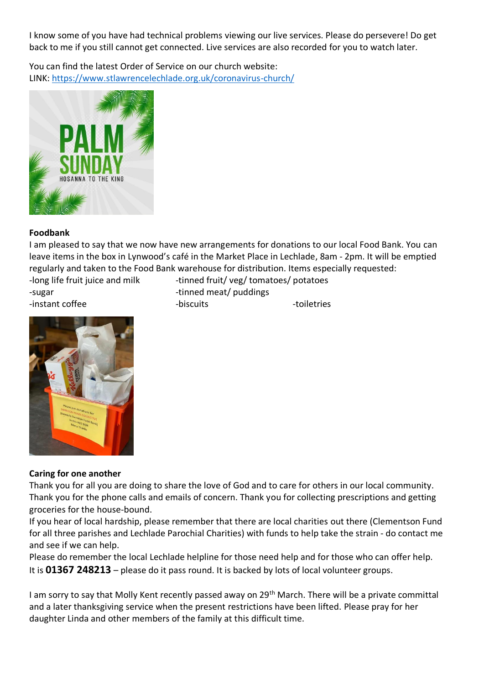I know some of you have had technical problems viewing our live services. Please do persevere! Do get back to me if you still cannot get connected. Live services are also recorded for you to watch later.

You can find the latest Order of Service on our church website: LINK:<https://www.stlawrencelechlade.org.uk/coronavirus-church/>



# **Foodbank**

I am pleased to say that we now have new arrangements for donations to our local Food Bank. You can leave items in the box in Lynwood's café in the Market Place in Lechlade, 8am - 2pm. It will be emptied regularly and taken to the Food Bank warehouse for distribution. Items especially requested:

-long life fruit juice and milk -tinned fruit/ veg/ tomatoes/ potatoes

-instant coffee -biscuits -biscuits -colletries

-sugar contract the summary of the set of the set of the set of the set of the set of the set of the set of the set of the set of the set of the set of the set of the set of the set of the set of the set of the set of the



# **Caring for one another**

Thank you for all you are doing to share the love of God and to care for others in our local community. Thank you for the phone calls and emails of concern. Thank you for collecting prescriptions and getting groceries for the house-bound.

If you hear of local hardship, please remember that there are local charities out there (Clementson Fund for all three parishes and Lechlade Parochial Charities) with funds to help take the strain - do contact me and see if we can help.

Please do remember the local Lechlade helpline for those need help and for those who can offer help. It is **01367 248213** – please do it pass round. It is backed by lots of local volunteer groups.

I am sorry to say that Molly Kent recently passed away on 29<sup>th</sup> March. There will be a private committal and a later thanksgiving service when the present restrictions have been lifted. Please pray for her daughter Linda and other members of the family at this difficult time.